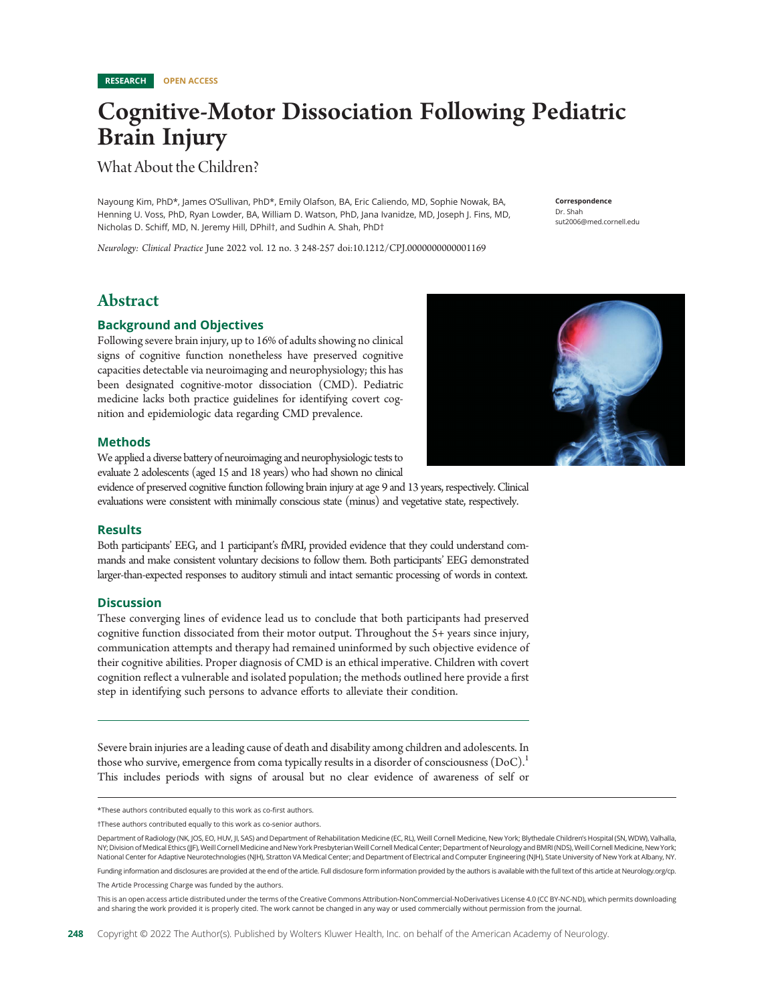## Cognitive-Motor Dissociation Following Pediatric Brain Injury

## What About the Children?

Nayoung Kim, PhD\*, James O'Sullivan, PhD\*, Emily Olafson, BA, Eric Caliendo, MD, Sophie Nowak, BA, Henning U. Voss, PhD, Ryan Lowder, BA, William D. Watson, PhD, Jana Ivanidze, MD, Joseph J. Fins, MD, Nicholas D. Schiff, MD, N. Jeremy Hill, DPhil†, and Sudhin A. Shah, PhD†

Correspondence Dr. Shah [sut2006@med.cornell.edu](mailto:sut2006@med.cornell.edu)

Neurology: Clinical Practice June 2022 vol. 12 no. 3 248-257 doi:10.1212/CPJ.0000000000001169

## Abstract

## Background and Objectives

Following severe brain injury, up to 16% of adults showing no clinical signs of cognitive function nonetheless have preserved cognitive capacities detectable via neuroimaging and neurophysiology; this has been designated cognitive-motor dissociation (CMD). Pediatric medicine lacks both practice guidelines for identifying covert cognition and epidemiologic data regarding CMD prevalence.

## Methods

We applied a diverse battery of neuroimaging and neurophysiologic tests to evaluate 2 adolescents (aged 15 and 18 years) who had shown no clinical

evidence of preserved cognitive function following brain injury at age 9 and 13 years, respectively. Clinical evaluations were consistent with minimally conscious state (minus) and vegetative state, respectively.

## **Results**

Both participants' EEG, and 1 participant's fMRI, provided evidence that they could understand commands and make consistent voluntary decisions to follow them. Both participants' EEG demonstrated larger-than-expected responses to auditory stimuli and intact semantic processing of words in context.

## **Discussion**

These converging lines of evidence lead us to conclude that both participants had preserved cognitive function dissociated from their motor output. Throughout the 5+ years since injury, communication attempts and therapy had remained uninformed by such objective evidence of their cognitive abilities. Proper diagnosis of CMD is an ethical imperative. Children with covert cognition reflect a vulnerable and isolated population; the methods outlined here provide a first step in identifying such persons to advance efforts to alleviate their condition.

Severe brain injuries are a leading cause of death and disability among children and adolescents. In those who survive, emergence from coma typically results in a disorder of consciousness  $(DoC)^{1}$ This includes periods with signs of arousal but no clear evidence of awareness of self or

Funding information and disclosures are provided at the end of the article. Full disclosure form information provided by the authors is available with the full text of this article at [Neurology.org/cp.](https://cp.neurology.org/lookup/doi/10.1212/CPJ.0000000000001169) The Article Processing Charge was funded by the authors.

This is an open access article distributed under the terms of the [Creative Commons Attribution-NonCommercial-NoDerivatives License 4.0 \(CC BY-NC-ND\)](http://creativecommons.org/licenses/by-nc-nd/4.0/), which permits downloading and sharing the work provided it is properly cited. The work cannot be changed in any way or used commercially without permission from the journal.



<sup>\*</sup>These authors contributed equally to this work as co-first authors.

<sup>†</sup>These authors contributed equally to this work as co-senior authors.

Department of Radiology (NK, JOS, EO, HUV, Jl, SAS) and Department of Rehabilitation Medicine (EC, RL), Weill Cornell Medicine, New York; Blythedale Children's Hospital (SN, WDW), Valhalla, NY; Division of Medical Ethics (JJF), Weill Cornell Medicine and New York Presbyterian Weill Cornell Medical Center; Department of Neurology and BMRI (NDS), Weill Cornell Medicine, New York; National Center for Adaptive Neurotechnologies (NJH), Stratton VA Medical Center; and Department of Electrical and Computer Engineering (NJH), State University of New York at Albany, NY.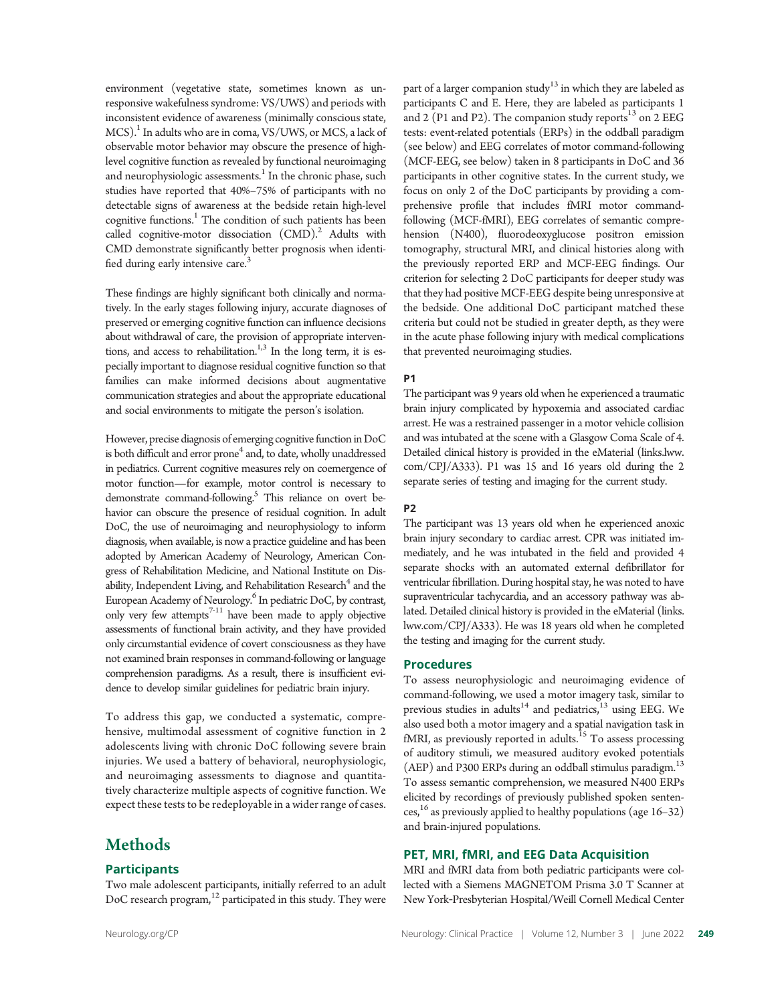environment (vegetative state, sometimes known as unresponsive wakefulness syndrome: VS/UWS) and periods with inconsistent evidence of awareness (minimally conscious state,  $MCS$ ).<sup>1</sup> In adults who are in coma, VS/UWS, or MCS, a lack of observable motor behavior may obscure the presence of highlevel cognitive function as revealed by functional neuroimaging and neurophysiologic assessments.<sup>1</sup> In the chronic phase, such studies have reported that 40%–75% of participants with no detectable signs of awareness at the bedside retain high-level cognitive functions.<sup>1</sup> The condition of such patients has been called cognitive-motor dissociation  $(CMD)^2$ . Adults with CMD demonstrate significantly better prognosis when identified during early intensive care.<sup>3</sup>

These findings are highly significant both clinically and normatively. In the early stages following injury, accurate diagnoses of preserved or emerging cognitive function can influence decisions about withdrawal of care, the provision of appropriate interventions, and access to rehabilitation.<sup>1,3</sup> In the long term, it is especially important to diagnose residual cognitive function so that families can make informed decisions about augmentative communication strategies and about the appropriate educational and social environments to mitigate the person's isolation.

However, precise diagnosis of emerging cognitive function in DoC is both difficult and error prone<sup>4</sup> and, to date, wholly unaddressed in pediatrics. Current cognitive measures rely on coemergence of motor function—for example, motor control is necessary to demonstrate command-following.<sup>5</sup> This reliance on overt behavior can obscure the presence of residual cognition. In adult DoC, the use of neuroimaging and neurophysiology to inform diagnosis, when available, is now a practice guideline and has been adopted by American Academy of Neurology, American Congress of Rehabilitation Medicine, and National Institute on Disability, Independent Living, and Rehabilitation Research<sup>4</sup> and the European Academy of Neurology.<sup>6</sup> In pediatric DoC, by contrast, only very few attempts<sup>7-11</sup> have been made to apply objective assessments of functional brain activity, and they have provided only circumstantial evidence of covert consciousness as they have not examined brain responses in command-following or language comprehension paradigms. As a result, there is insufficient evidence to develop similar guidelines for pediatric brain injury.

To address this gap, we conducted a systematic, comprehensive, multimodal assessment of cognitive function in 2 adolescents living with chronic DoC following severe brain injuries. We used a battery of behavioral, neurophysiologic, and neuroimaging assessments to diagnose and quantitatively characterize multiple aspects of cognitive function. We expect these tests to be redeployable in a wider range of cases.

## Methods

## **Participants**

Two male adolescent participants, initially referred to an adult DoC research program,<sup>12</sup> participated in this study. They were part of a larger companion study<sup>13</sup> in which they are labeled as participants C and E. Here, they are labeled as participants 1 and 2 (P1 and P2). The companion study reports $13$  on 2 EEG tests: event-related potentials (ERPs) in the oddball paradigm (see below) and EEG correlates of motor command-following (MCF-EEG, see below) taken in 8 participants in DoC and 36 participants in other cognitive states. In the current study, we focus on only 2 of the DoC participants by providing a comprehensive profile that includes fMRI motor commandfollowing (MCF-fMRI), EEG correlates of semantic comprehension (N400), fluorodeoxyglucose positron emission tomography, structural MRI, and clinical histories along with the previously reported ERP and MCF-EEG findings. Our criterion for selecting 2 DoC participants for deeper study was that they had positive MCF-EEG despite being unresponsive at the bedside. One additional DoC participant matched these criteria but could not be studied in greater depth, as they were in the acute phase following injury with medical complications that prevented neuroimaging studies.

## P1

The participant was 9 years old when he experienced a traumatic brain injury complicated by hypoxemia and associated cardiac arrest. He was a restrained passenger in a motor vehicle collision and was intubated at the scene with a Glasgow Coma Scale of 4. Detailed clinical history is provided in the eMaterial ([links.lww.](http://links.lww.com/CPJ/A333) [com/CPJ/A333\)](http://links.lww.com/CPJ/A333). P1 was 15 and 16 years old during the 2 separate series of testing and imaging for the current study.

## P2

The participant was 13 years old when he experienced anoxic brain injury secondary to cardiac arrest. CPR was initiated immediately, and he was intubated in the field and provided 4 separate shocks with an automated external defibrillator for ventricular fibrillation. During hospital stay, he was noted to have supraventricular tachycardia, and an accessory pathway was ablated. Detailed clinical history is provided in the eMaterial ([links.](http://links.lww.com/CPJ/A333) [lww.com/CPJ/A333\)](http://links.lww.com/CPJ/A333). He was 18 years old when he completed the testing and imaging for the current study.

## Procedures

To assess neurophysiologic and neuroimaging evidence of command-following, we used a motor imagery task, similar to previous studies in adults<sup>14</sup> and pediatrics, $13$  using EEG. We also used both a motor imagery and a spatial navigation task in fMRI, as previously reported in adults.<sup>15</sup> To assess processing of auditory stimuli, we measured auditory evoked potentials (AEP) and P300 ERPs during an oddball stimulus paradigm.<sup>13</sup> To assess semantic comprehension, we measured N400 ERPs elicited by recordings of previously published spoken sentences, <sup>16</sup> as previously applied to healthy populations (age 16–32) and brain-injured populations.

## PET, MRI, fMRI, and EEG Data Acquisition

MRI and fMRI data from both pediatric participants were collected with a Siemens MAGNETOM Prisma 3.0 T Scanner at New York‐Presbyterian Hospital/Weill Cornell Medical Center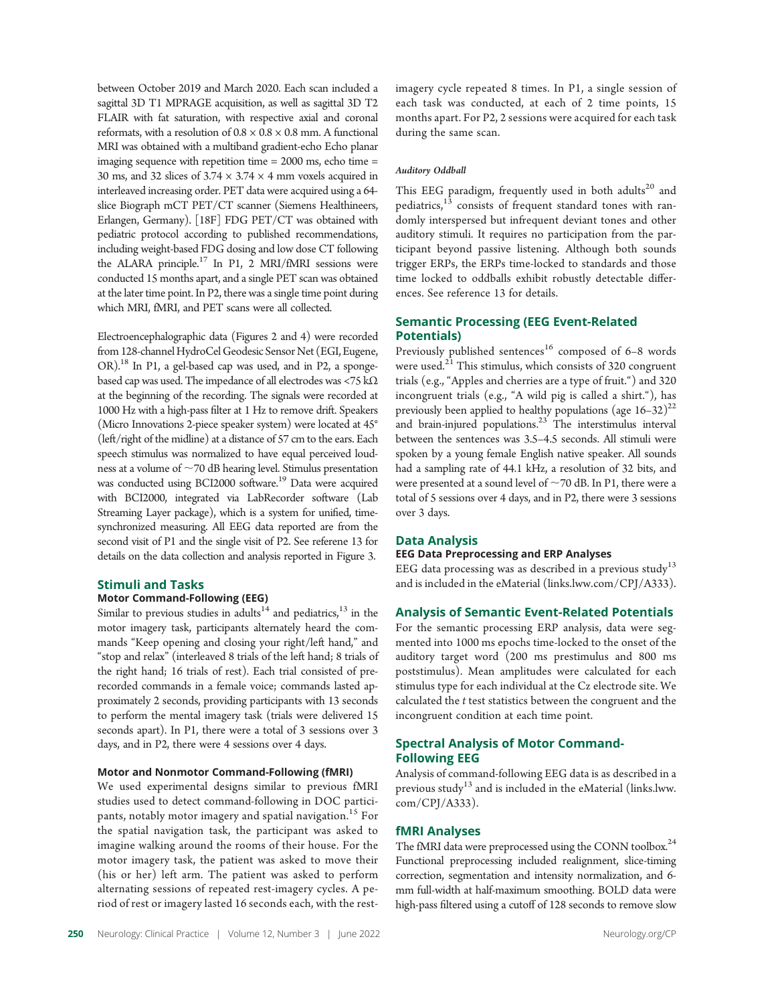recorded commands in a female voice; commands lasted approximately 2 seconds, providing participants with 13 seconds to perform the mental imagery task (trials were delivered 15 seconds apart). In P1, there were a total of 3 sessions over 3 days, and in P2, there were 4 sessions over 4 days. Motor and Nonmotor Command-Following (fMRI)

Stimuli and Tasks

Motor Command-Following (EEG)

We used experimental designs similar to previous fMRI studies used to detect command-following in DOC participants, notably motor imagery and spatial navigation.<sup>15</sup> For the spatial navigation task, the participant was asked to imagine walking around the rooms of their house. For the motor imagery task, the patient was asked to move their (his or her) left arm. The patient was asked to perform alternating sessions of repeated rest-imagery cycles. A period of rest or imagery lasted 16 seconds each, with the rest-

Similar to previous studies in adults<sup>14</sup> and pediatrics,<sup>13</sup> in the motor imagery task, participants alternately heard the commands "Keep opening and closing your right/left hand," and "stop and relax" (interleaved 8 trials of the left hand; 8 trials of the right hand; 16 trials of rest). Each trial consisted of pre-

between October 2019 and March 2020. Each scan included a sagittal 3D T1 MPRAGE acquisition, as well as sagittal 3D T2 FLAIR with fat saturation, with respective axial and coronal reformats, with a resolution of  $0.8 \times 0.8 \times 0.8$  mm. A functional MRI was obtained with a multiband gradient-echo Echo planar imaging sequence with repetition time = 2000 ms, echo time = 30 ms, and 32 slices of  $3.74 \times 3.74 \times 4$  mm voxels acquired in interleaved increasing order. PET data were acquired using a 64 slice Biograph mCT PET/CT scanner (Siemens Healthineers, Erlangen, Germany). [18F] FDG PET/CT was obtained with pediatric protocol according to published recommendations, including weight-based FDG dosing and low dose CT following the ALARA principle. $^{17}$  In P1, 2 MRI/fMRI sessions were conducted 15 months apart, and a single PET scan was obtained at the later time point. In P2, there was a single time point during

which MRI, fMRI, and PET scans were all collected.

Electroencephalographic data (Figures 2 and 4) were recorded from 128-channel HydroCel Geodesic Sensor Net (EGI, Eugene, OR).<sup>18</sup> In P1, a gel-based cap was used, and in P2, a spongebased cap was used. The impedance of all electrodes was <75 k $\Omega$ at the beginning of the recording. The signals were recorded at 1000 Hz with a high-pass filter at 1 Hz to remove drift. Speakers (Micro Innovations 2-piece speaker system) were located at 45° (left/right of the midline) at a distance of 57 cm to the ears. Each speech stimulus was normalized to have equal perceived loudness at a volume of  $\sim$  70 dB hearing level. Stimulus presentation was conducted using BCI2000 software.<sup>19</sup> Data were acquired with BCI2000, integrated via LabRecorder software (Lab Streaming Layer package), which is a system for unified, timesynchronized measuring. All EEG data reported are from the second visit of P1 and the single visit of P2. See referene 13 for details on the data collection and analysis reported in Figure 3.

imagery cycle repeated 8 times. In P1, a single session of each task was conducted, at each of 2 time points, 15 months apart. For P2, 2 sessions were acquired for each task during the same scan.

## Auditory Oddball

This EEG paradigm, frequently used in both adults<sup>20</sup> and pediatrics, $13$  consists of frequent standard tones with randomly interspersed but infrequent deviant tones and other auditory stimuli. It requires no participation from the participant beyond passive listening. Although both sounds trigger ERPs, the ERPs time-locked to standards and those time locked to oddballs exhibit robustly detectable differences. See reference 13 for details.

## Semantic Processing (EEG Event-Related Potentials)

Previously published sentences<sup>16</sup> composed of  $6-8$  words were used.<sup>21</sup> This stimulus, which consists of 320 congruent trials (e.g., "Apples and cherries are a type of fruit.") and 320 incongruent trials (e.g., "A wild pig is called a shirt."), has previously been applied to healthy populations (age  $16-32$ )<sup>22</sup> and brain-injured populations.<sup>23</sup> The interstimulus interval between the sentences was 3.5–4.5 seconds. All stimuli were spoken by a young female English native speaker. All sounds had a sampling rate of 44.1 kHz, a resolution of 32 bits, and were presented at a sound level of  $\sim$  70 dB. In P1, there were a total of 5 sessions over 4 days, and in P2, there were 3 sessions over 3 days.

## Data Analysis

#### EEG Data Preprocessing and ERP Analyses

EEG data processing was as described in a previous study<sup>13</sup> and is included in the eMaterial ([links.lww.com/CPJ/A333\)](http://links.lww.com/CPJ/A333).

### Analysis of Semantic Event-Related Potentials

For the semantic processing ERP analysis, data were segmented into 1000 ms epochs time-locked to the onset of the auditory target word (200 ms prestimulus and 800 ms poststimulus). Mean amplitudes were calculated for each stimulus type for each individual at the Cz electrode site. We calculated the t test statistics between the congruent and the incongruent condition at each time point.

## Spectral Analysis of Motor Command-Following EEG

Analysis of command-following EEG data is as described in a previous study<sup>13</sup> and is included in the eMaterial [\(links.lww.](http://links.lww.com/CPJ/A333) [com/CPJ/A333](http://links.lww.com/CPJ/A333)).

## fMRI Analyses

The fMRI data were preprocessed using the CONN toolbox.<sup>24</sup> Functional preprocessing included realignment, slice-timing correction, segmentation and intensity normalization, and 6 mm full-width at half-maximum smoothing. BOLD data were high-pass filtered using a cutoff of 128 seconds to remove slow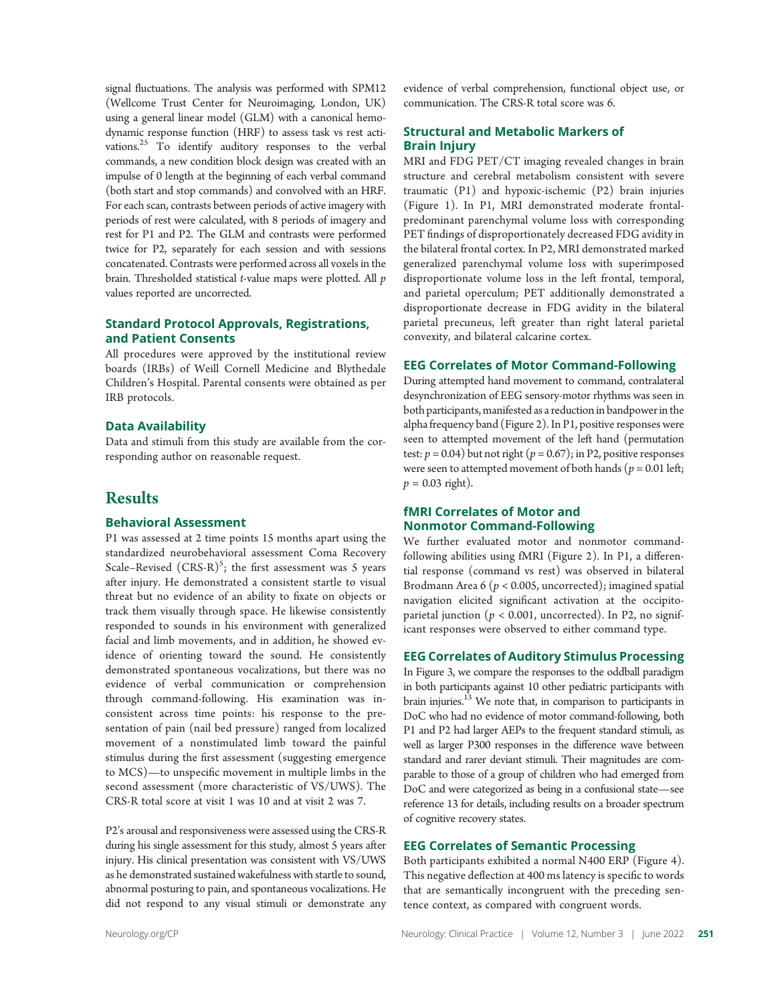signal fluctuations. The analysis was performed with SPM12 (Wellcome Trust Center for Neuroimaging, London, UK) using a general linear model (GLM) with a canonical hemodynamic response function (HRF) to assess task vs rest activations.25 To identify auditory responses to the verbal commands, a new condition block design was created with an impulse of 0 length at the beginning of each verbal command (both start and stop commands) and convolved with an HRF. For each scan, contrasts between periods of active imagery with periods of rest were calculated, with 8 periods of imagery and rest for P1 and P2. The GLM and contrasts were performed twice for P2, separately for each session and with sessions concatenated. Contrasts were performed across all voxels in the brain. Thresholded statistical *t*-value maps were plotted. All *p* values reported are uncorrected.

## Standard Protocol Approvals, Registrations, and Patient Consents

All procedures were approved by the institutional review boards (IRBs) of Weill Cornell Medicine and Blythedale Children's Hospital. Parental consents were obtained as per IRB protocols.

## Data Availability

Data and stimuli from this study are available from the corresponding author on reasonable request.

## Results

## Behavioral Assessment

P1 was assessed at 2 time points 15 months apart using the standardized neurobehavioral assessment Coma Recovery Scale–Revised  $(CRS-R)^5$ ; the first assessment was 5 years after injury. He demonstrated a consistent startle to visual threat but no evidence of an ability to fixate on objects or track them visually through space. He likewise consistently responded to sounds in his environment with generalized facial and limb movements, and in addition, he showed evidence of orienting toward the sound. He consistently demonstrated spontaneous vocalizations, but there was no evidence of verbal communication or comprehension through command-following. His examination was inconsistent across time points: his response to the presentation of pain (nail bed pressure) ranged from localized movement of a nonstimulated limb toward the painful stimulus during the first assessment (suggesting emergence to MCS)—to unspecific movement in multiple limbs in the second assessment (more characteristic of VS/UWS). The CRS-R total score at visit 1 was 10 and at visit 2 was 7.

P2's arousal and responsiveness were assessed using the CRS-R during his single assessment for this study, almost 5 years after injury. His clinical presentation was consistent with VS/UWS as he demonstrated sustained wakefulness with startle to sound, abnormal posturing to pain, and spontaneous vocalizations. He did not respond to any visual stimuli or demonstrate any evidence of verbal comprehension, functional object use, or communication. The CRS-R total score was 6.

## Structural and Metabolic Markers of Brain Injury

MRI and FDG PET/CT imaging revealed changes in brain structure and cerebral metabolism consistent with severe traumatic (P1) and hypoxic-ischemic (P2) brain injuries (Figure 1). In P1, MRI demonstrated moderate frontalpredominant parenchymal volume loss with corresponding PET findings of disproportionately decreased FDG avidity in the bilateral frontal cortex. In P2, MRI demonstrated marked generalized parenchymal volume loss with superimposed disproportionate volume loss in the left frontal, temporal, and parietal operculum; PET additionally demonstrated a disproportionate decrease in FDG avidity in the bilateral parietal precuneus, left greater than right lateral parietal convexity, and bilateral calcarine cortex.

## EEG Correlates of Motor Command-Following

During attempted hand movement to command, contralateral desynchronization of EEG sensory-motor rhythms was seen in both participants, manifested as a reduction in bandpower inthe alpha frequency band (Figure 2). In P1, positive responses were seen to attempted movement of the left hand (permutation test:  $p = 0.04$ ) but not right ( $p = 0.67$ ); in P2, positive responses were seen to attempted movement of both hands ( $p = 0.01$  left;  $p = 0.03$  right).

## fMRI Correlates of Motor and Nonmotor Command-Following

We further evaluated motor and nonmotor commandfollowing abilities using fMRI (Figure 2). In P1, a differential response (command vs rest) was observed in bilateral Brodmann Area 6 ( $p < 0.005$ , uncorrected); imagined spatial navigation elicited significant activation at the occipitoparietal junction ( $p < 0.001$ , uncorrected). In P2, no significant responses were observed to either command type.

#### EEG Correlates of Auditory Stimulus Processing

In Figure 3, we compare the responses to the oddball paradigm in both participants against 10 other pediatric participants with brain injuries.<sup>13</sup> We note that, in comparison to participants in DoC who had no evidence of motor command-following, both P1 and P2 had larger AEPs to the frequent standard stimuli, as well as larger P300 responses in the difference wave between standard and rarer deviant stimuli. Their magnitudes are comparable to those of a group of children who had emerged from DoC and were categorized as being in a confusional state—see reference 13 for details, including results on a broader spectrum of cognitive recovery states.

## EEG Correlates of Semantic Processing

Both participants exhibited a normal N400 ERP (Figure 4). This negative deflection at 400 ms latency is specific to words that are semantically incongruent with the preceding sentence context, as compared with congruent words.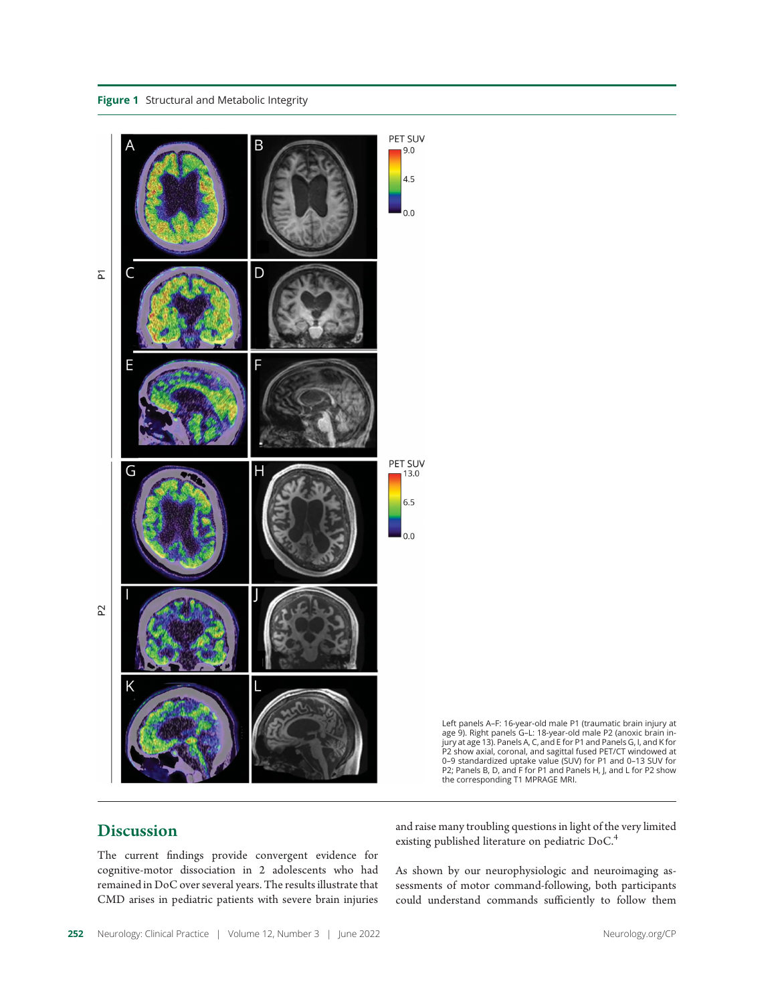Figure 1 Structural and Metabolic Integrity



Left panels A–F: 16-year-old male P1 (traumatic brain injury at age 9). Right panels G–L: 18-year-old male P2 (anoxic brain injury at age 13). Panels A, C, and E for P1 and Panels G, I, and K for P2 show axial, coronal, and sagittal fused PET/CT windowed at<br>0–9 standardized uptake value (SUV) for P1 and 0–13 SUV for<br>P2; Panels B, D, and F for P1 and Panels H, J, and L for P2 show<br>the corresponding T1 MPRAGE MRI.

## Discussion

The current findings provide convergent evidence for cognitive-motor dissociation in 2 adolescents who had remained in DoC over several years. The results illustrate that CMD arises in pediatric patients with severe brain injuries and raise many troubling questions in light of the very limited existing published literature on pediatric DoC.<sup>4</sup>

As shown by our neurophysiologic and neuroimaging assessments of motor command-following, both participants could understand commands sufficiently to follow them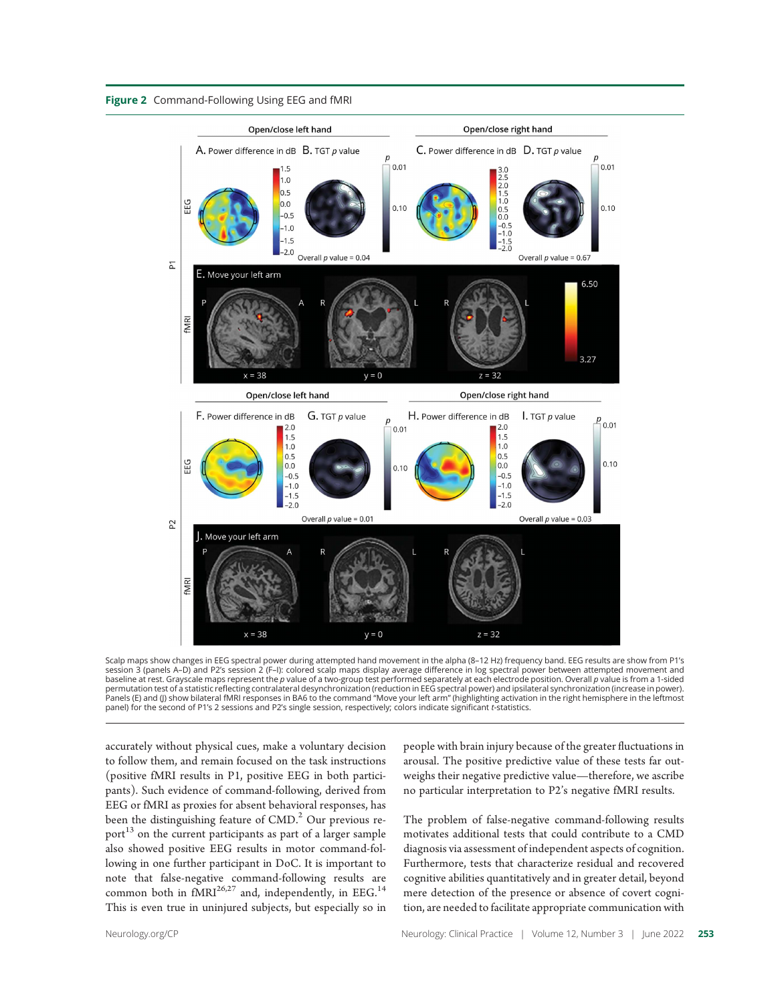



Scalp maps show changes in EEG spectral power during attempted hand movement in the alpha (8–12 Hz) frequency band. EEG results are show from P1's session 3 (panels A–D) and P2's session 2 (F–I): colored scalp maps display average difference in log spectral power between attempted movement and baseline at rest. Grayscale maps represent the p value of a two-group test performed separately at each electrode position. Overall p value is from a 1-sided permutation test of a statistic reflecting contralateral desynchronization (reduction in EEG spectral power) and ipsilateral synchronization (increase in power). Panels (E) and (J) show bilateral fMRI responses in BA6 to the command "Move your left arm" (highlighting activation in the right hemisphere in the leftmost panel) for the second of P1's 2 sessions and P2's single session, respectively; colors indicate significant t-statistics.

accurately without physical cues, make a voluntary decision to follow them, and remain focused on the task instructions (positive fMRI results in P1, positive EEG in both participants). Such evidence of command-following, derived from EEG or fMRI as proxies for absent behavioral responses, has been the distinguishing feature of  $CMD<sup>2</sup>$  Our previous report<sup>13</sup> on the current participants as part of a larger sample also showed positive EEG results in motor command-following in one further participant in DoC. It is important to note that false-negative command-following results are common both in  $fMRI^{26,27}$  and, independently, in EEG.<sup>14</sup> This is even true in uninjured subjects, but especially so in people with brain injury because of the greater fluctuations in arousal. The positive predictive value of these tests far outweighs their negative predictive value—therefore, we ascribe no particular interpretation to P2's negative fMRI results.

The problem of false-negative command-following results motivates additional tests that could contribute to a CMD diagnosis via assessment of independent aspects of cognition. Furthermore, tests that characterize residual and recovered cognitive abilities quantitatively and in greater detail, beyond mere detection of the presence or absence of covert cognition, are needed to facilitate appropriate communication with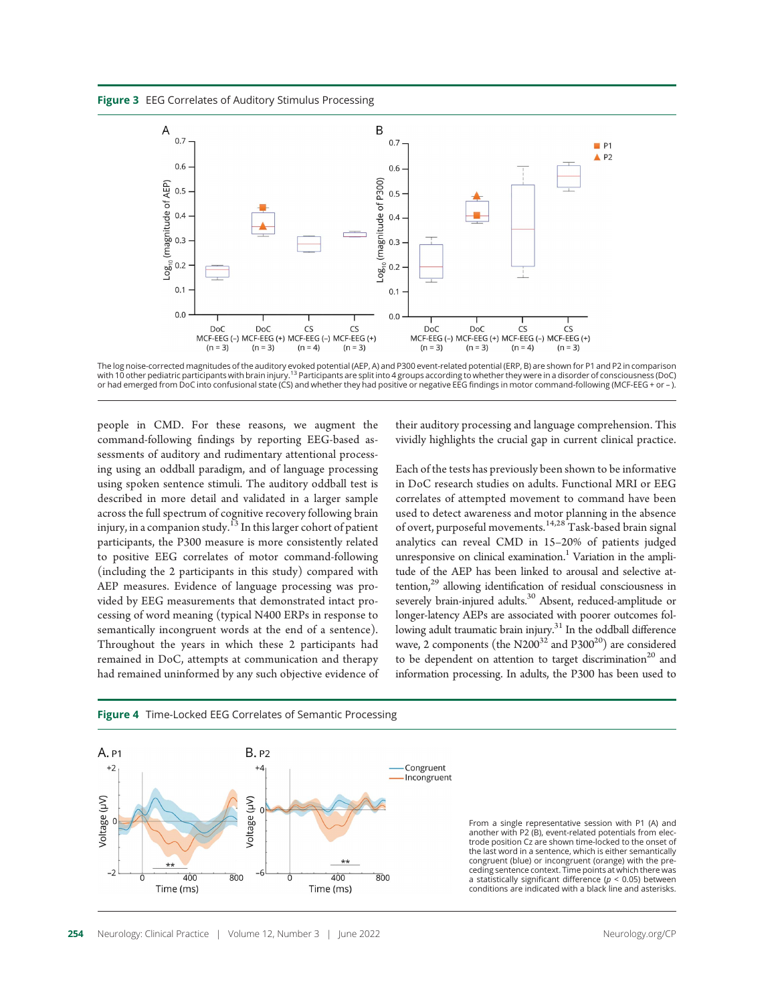Figure 3 EEG Correlates of Auditory Stimulus Processing



The log noise-corrected magnitudes of the auditory evoked potential (AEP, A) and P300 event-related potential (ERP, B) are shown for P1 and P2 in comparison with 10 other pediatric participants with brain injury.<sup>[13](https://www.zotero.org/google-docs/?AkowI0)</sup> Participants are split into 4 groups according to whether they were in a disorder of consciousness (DoC) or had emerged from DoC into confusional state (CS) and whether they had positive or negative EEG findings in motor command-following (MCF-EEG + or – ).

people in CMD. For these reasons, we augment the command-following findings by reporting EEG-based assessments of auditory and rudimentary attentional processing using an oddball paradigm, and of language processing using spoken sentence stimuli. The auditory oddball test is described in more detail and validated in a larger sample across the full spectrum of cognitive recovery following brain injury, in a companion study.<sup>13</sup> In this larger cohort of patient participants, the P300 measure is more consistently related to positive EEG correlates of motor command-following (including the 2 participants in this study) compared with AEP measures. Evidence of language processing was provided by EEG measurements that demonstrated intact processing of word meaning (typical N400 ERPs in response to semantically incongruent words at the end of a sentence). Throughout the years in which these 2 participants had remained in DoC, attempts at communication and therapy had remained uninformed by any such objective evidence of their auditory processing and language comprehension. This vividly highlights the crucial gap in current clinical practice.

Each of the tests has previously been shown to be informative in DoC research studies on adults. Functional MRI or EEG correlates of attempted movement to command have been used to detect awareness and motor planning in the absence of overt, purposeful movements.14,28 Task-based brain signal analytics can reveal CMD in 15–20% of patients judged unresponsive on clinical examination.<sup>1</sup> Variation in the amplitude of the AEP has been linked to arousal and selective at $t$ ention, $29$  allowing identification of residual consciousness in severely brain-injured adults.<sup>30</sup> Absent, reduced-amplitude or longer-latency AEPs are associated with poorer outcomes following adult traumatic brain injury.<sup>31</sup> In the oddball difference wave, 2 components (the  $N200^{32}$  and  $P300^{20}$ ) are considered to be dependent on attention to target discrimination<sup>20</sup> and information processing. In adults, the P300 has been used to



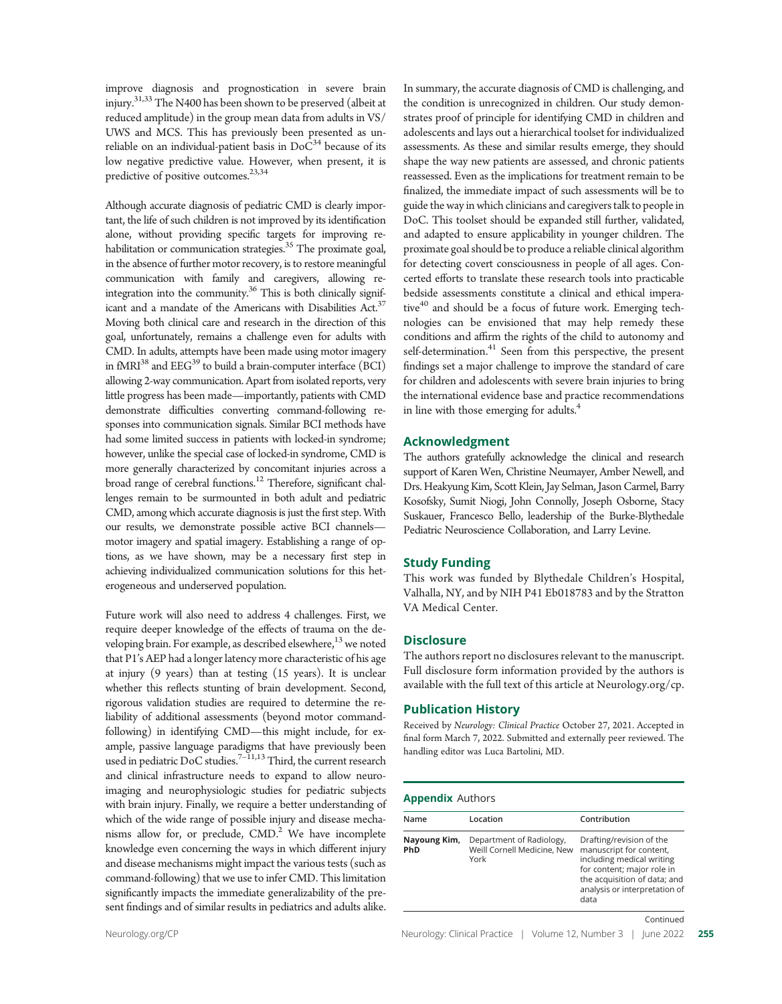improve diagnosis and prognostication in severe brain injury.<sup>31,33</sup> The N400 has been shown to be preserved (albeit at reduced amplitude) in the group mean data from adults in VS/ UWS and MCS. This has previously been presented as unreliable on an individual-patient basis in  $DoC<sup>34</sup>$  because of its low negative predictive value. However, when present, it is predictive of positive outcomes.<sup>23,34</sup>

Although accurate diagnosis of pediatric CMD is clearly important, the life of such children is not improved by its identification alone, without providing specific targets for improving rehabilitation or communication strategies.<sup>35</sup> The proximate goal, in the absence of further motor recovery, is to restore meaningful communication with family and caregivers, allowing reintegration into the community.<sup>36</sup> This is both clinically significant and a mandate of the Americans with Disabilities Act.<sup>37</sup> Moving both clinical care and research in the direction of this goal, unfortunately, remains a challenge even for adults with CMD. In adults, attempts have been made using motor imagery in fMRI $^{38}$  and  $EEG^{39}$  to build a brain-computer interface (BCI) allowing 2-way communication. Apart from isolated reports, very little progress has been made—importantly, patients with CMD demonstrate difficulties converting command-following responses into communication signals. Similar BCI methods have had some limited success in patients with locked-in syndrome; however, unlike the special case of locked-in syndrome, CMD is more generally characterized by concomitant injuries across a broad range of cerebral functions.12 Therefore, significant challenges remain to be surmounted in both adult and pediatric CMD, among which accurate diagnosis is just the first step. With our results, we demonstrate possible active BCI channels motor imagery and spatial imagery. Establishing a range of options, as we have shown, may be a necessary first step in achieving individualized communication solutions for this heterogeneous and underserved population.

Future work will also need to address 4 challenges. First, we require deeper knowledge of the effects of trauma on the developing brain. For example, as described elsewhere, $13$  we noted that P1's AEP had a longer latency more characteristic of his age at injury (9 years) than at testing (15 years). It is unclear whether this reflects stunting of brain development. Second, rigorous validation studies are required to determine the reliability of additional assessments (beyond motor commandfollowing) in identifying CMD—this might include, for example, passive language paradigms that have previously been used in pediatric DoC studies.<sup>7-11,13</sup> Third, the current research and clinical infrastructure needs to expand to allow neuroimaging and neurophysiologic studies for pediatric subjects with brain injury. Finally, we require a better understanding of which of the wide range of possible injury and disease mechanisms allow for, or preclude,  $\text{CMD.}^2$  We have incomplete knowledge even concerning the ways in which different injury and disease mechanisms might impact the various tests (such as command-following) that we use to infer CMD. This limitation significantly impacts the immediate generalizability of the present findings and of similar results in pediatrics and adults alike.

In summary, the accurate diagnosis of CMD is challenging, and the condition is unrecognized in children. Our study demonstrates proof of principle for identifying CMD in children and adolescents and lays out a hierarchical toolset for individualized assessments. As these and similar results emerge, they should shape the way new patients are assessed, and chronic patients reassessed. Even as the implications for treatment remain to be finalized, the immediate impact of such assessments will be to guide the way in which clinicians and caregivers talk to people in DoC. This toolset should be expanded still further, validated, and adapted to ensure applicability in younger children. The proximate goal should be to produce a reliable clinical algorithm for detecting covert consciousness in people of all ages. Concerted efforts to translate these research tools into practicable bedside assessments constitute a clinical and ethical imperative $40$  and should be a focus of future work. Emerging technologies can be envisioned that may help remedy these conditions and affirm the rights of the child to autonomy and self-determination.<sup>41</sup> Seen from this perspective, the present findings set a major challenge to improve the standard of care for children and adolescents with severe brain injuries to bring the international evidence base and practice recommendations in line with those emerging for adults.<sup>4</sup>

### Acknowledgment

The authors gratefully acknowledge the clinical and research support of Karen Wen, Christine Neumayer, Amber Newell, and Drs. Heakyung Kim, Scott Klein, Jay Selman, Jason Carmel, Barry Kosofsky, Sumit Niogi, John Connolly, Joseph Osborne, Stacy Suskauer, Francesco Bello, leadership of the Burke-Blythedale Pediatric Neuroscience Collaboration, and Larry Levine.

## Study Funding

This work was funded by Blythedale Children's Hospital, Valhalla, NY, and by NIH P41 Eb018783 and by the Stratton VA Medical Center.

### **Disclosure**

The authors report no disclosures relevant to the manuscript. Full disclosure form information provided by the authors is available with the full text of this article at [Neurology.org/cp.](https://cp.neurology.org/lookup/doi/10.1212/CPJ.0000000000001169)

### Publication History

Received by Neurology: Clinical Practice October 27, 2021. Accepted in final form March 7, 2022. Submitted and externally peer reviewed. The handling editor was Luca Bartolini, MD.

### **Appendix Authors**

| Name                       | Location                                                        | Contribution                                                                                                                                                                            |
|----------------------------|-----------------------------------------------------------------|-----------------------------------------------------------------------------------------------------------------------------------------------------------------------------------------|
| Nayoung Kim,<br><b>PhD</b> | Department of Radiology,<br>Weill Cornell Medicine, New<br>York | Drafting/revision of the<br>manuscript for content,<br>including medical writing<br>for content; major role in<br>the acquisition of data; and<br>analysis or interpretation of<br>data |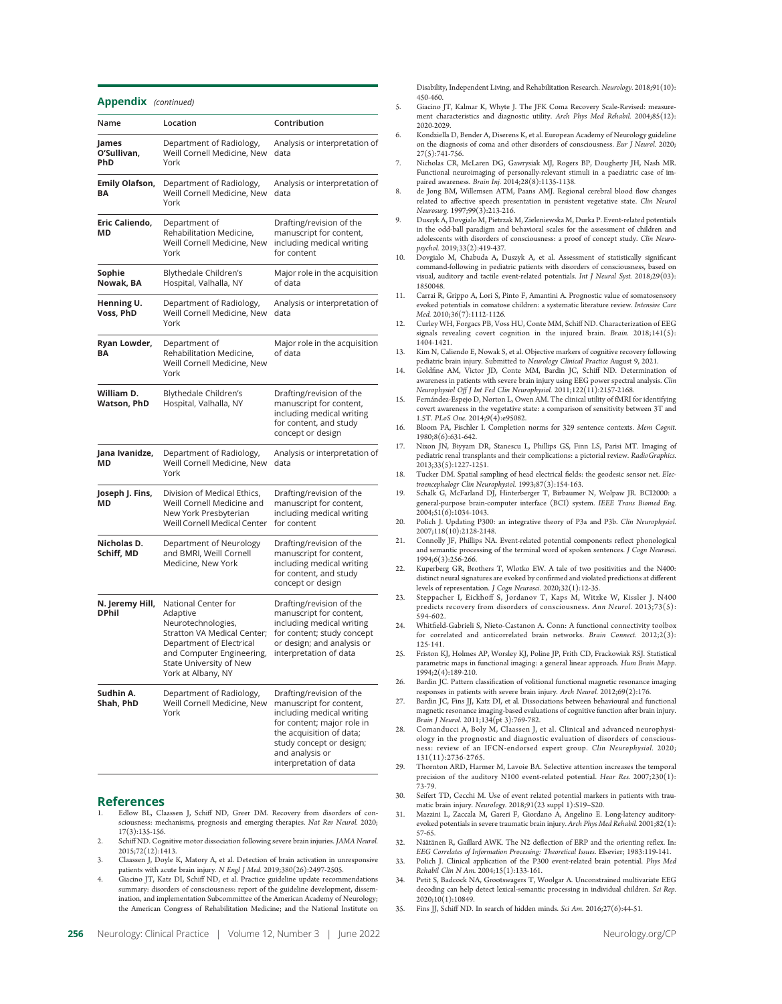#### Appendix (continued)

| Name                            | Location                                                                                                                                                                                              | Contribution                                                                                                                                                                                                        |
|---------------------------------|-------------------------------------------------------------------------------------------------------------------------------------------------------------------------------------------------------|---------------------------------------------------------------------------------------------------------------------------------------------------------------------------------------------------------------------|
| James<br>O'Sullivan,<br>PhD     | Department of Radiology,<br>Weill Cornell Medicine, New<br>York                                                                                                                                       | Analysis or interpretation of<br>data                                                                                                                                                                               |
| <b>Emily Olafson,</b><br>ΒA     | Department of Radiology,<br>Weill Cornell Medicine, New<br>York                                                                                                                                       | Analysis or interpretation of<br>data                                                                                                                                                                               |
| Eric Caliendo,<br>MD            | Department of<br>Rehabilitation Medicine,<br>Weill Cornell Medicine, New<br>York                                                                                                                      | Drafting/revision of the<br>manuscript for content,<br>including medical writing<br>for content                                                                                                                     |
| Sophie<br>Nowak, BA             | Blythedale Children's<br>Hospital, Valhalla, NY                                                                                                                                                       | Major role in the acquisition<br>of data                                                                                                                                                                            |
| Henning U.<br>Voss, PhD         | Department of Radiology,<br>Weill Cornell Medicine, New<br>York                                                                                                                                       | Analysis or interpretation of<br>data                                                                                                                                                                               |
| Ryan Lowder,<br>ΒA              | Department of<br>Rehabilitation Medicine,<br>Weill Cornell Medicine, New<br>York                                                                                                                      | Major role in the acquisition<br>of data                                                                                                                                                                            |
| William D.<br>Watson, PhD       | Blythedale Children's<br>Hospital, Valhalla, NY                                                                                                                                                       | Drafting/revision of the<br>manuscript for content,<br>including medical writing<br>for content, and study<br>concept or design                                                                                     |
| Jana Ivanidze,<br>МD            | Department of Radiology,<br>Weill Cornell Medicine, New<br>York                                                                                                                                       | Analysis or interpretation of<br>data                                                                                                                                                                               |
| Joseph J. Fins,<br>МD           | Division of Medical Ethics,<br>Weill Cornell Medicine and<br>New York Presbyterian<br>Weill Cornell Medical Center                                                                                    | Drafting/revision of the<br>manuscript for content,<br>including medical writing<br>for content                                                                                                                     |
| Nicholas D.<br>Schiff, MD       | Department of Neurology<br>and BMRI, Weill Cornell<br>Medicine, New York                                                                                                                              | Drafting/revision of the<br>manuscript for content,<br>including medical writing<br>for content, and study<br>concept or design                                                                                     |
| N. Jeremy Hill,<br><b>DPhil</b> | National Center for<br>Adaptive<br>Neurotechnologies,<br><b>Stratton VA Medical Center;</b><br>Department of Electrical<br>and Computer Engineering,<br>State University of New<br>York at Albany, NY | Drafting/revision of the<br>manuscript for content,<br>including medical writing<br>for content; study concept<br>or design; and analysis or<br>interpretation of data                                              |
| Sudhin A.<br>Shah, PhD          | Department of Radiology,<br>Weill Cornell Medicine, New<br>York                                                                                                                                       | Drafting/revision of the<br>manuscript for content,<br>including medical writing<br>for content; major role in<br>the acquisition of data;<br>study concept or design;<br>and analysis or<br>interpretation of data |

### References

- Edlow BL, Claassen J, Schiff ND, Greer DM. Recovery from disorders of consciousness: mechanisms, prognosis and emerging therapies. Nat Rev Neurol. 2020; 17(3):135-156.
- 2. Schiff ND. Cognitive motor dissociation following severe brain injuries. JAMA Neurol. 2015;72(12):1413.
- 3. Claassen J, Doyle K, Matory A, et al. Detection of brain activation in unresponsive patients with acute brain injury. N Engl J Med. 2019;380(26):2497-2505.
- 4. Giacino JT, Katz DI, Schiff ND, et al. Practice guideline update recommendations summary: disorders of consciousness: report of the guideline development, dissemination, and implementation Subcommittee of the American Academy of Neurology; the American Congress of Rehabilitation Medicine; and the National Institute on

Disability, Independent Living, and Rehabilitation Research. Neurology. 2018;91(10): 450-460.

- 5. Giacino JT, Kalmar K, Whyte J. The JFK Coma Recovery Scale-Revised: measurement characteristics and diagnostic utility. Arch Phys Med Rehabil. 2004;85(12): 2020-2029.
- 6. Kondziella D, Bender A, Diserens K, et al. European Academy of Neurology guideline on the diagnosis of coma and other disorders of consciousness. Eur J Neurol. 2020;  $27(5):741-756.$
- 7. Nicholas CR, McLaren DG, Gawrysiak MJ, Rogers BP, Dougherty JH, Nash MR. Functional neuroimaging of personally-relevant stimuli in a paediatric case of impaired awareness. Brain Inj. 2014;28(8):1135-1138.
- 8. de Jong BM, Willemsen ATM, Paans AMJ. Regional cerebral blood flow changes related to affective speech presentation in persistent vegetative state. Clin Neurol Neurosurg. 1997;99(3):213-216.
- 9. Duszyk A, Dovgialo M, Pietrzak M, Zieleniewska M, Durka P. Event-related potentials in the odd-ball paradigm and behavioral scales for the assessment of children and adolescents with disorders of consciousness: a proof of concept study. Clin Neuropsychol. 2019;33(2):419-437.
- 10. Dovgialo M, Chabuda A, Duszyk A, et al. Assessment of statistically significant command-following in pediatric patients with disorders of consciousness, based on visual, auditory and tactile event-related potentials. Int J Neural Syst. 2018;29(03): 1850048.
- 11. Carrai R, Grippo A, Lori S, Pinto F, Amantini A. Prognostic value of somatosensory evoked potentials in comatose children: a systematic literature review. Intensive Care Med. 2010;36(7):1112-1126.
- 12. Curley WH, Forgacs PB, Voss HU, Conte MM, Schiff ND. Characterization of EEG signals revealing covert cognition in the injured brain. Brain.  $2018;141(5)$ : 1404-1421.
- 13. Kim N, Caliendo E, Nowak S, et al. Objective markers of cognitive recovery following pediatric brain injury. Submitted to Neurology Clinical Practice August 9, 2021.
- 14. Goldfine AM, Victor JD, Conte MM, Bardin JC, Schiff ND. Determination of awareness in patients with severe brain injury using EEG power spectral analysis. Clin Neurophysiol Off J Int Fed Clin Neurophysiol. 2011;122(11):2157-2168.
- 15. Fernández-Espejo D, Norton L, Owen AM. The clinical utility of fMRI for identifying covert awareness in the vegetative state: a comparison of sensitivity between 3T and 1.5T. PLoS One. 2014;9(4):e95082.
- 16. Bloom PA, Fischler I. Completion norms for 329 sentence contexts. Mem Cognit. 1980;8(6):631-642.
- 17. Nixon JN, Biyyam DR, Stanescu L, Phillips GS, Finn LS, Parisi MT. Imaging of pediatric renal transplants and their complications: a pictorial review. RadioGraphics. 2013;33(5):1227-1251.
- 18. Tucker DM. Spatial sampling of head electrical fields: the geodesic sensor net. Electroencephalogr Clin Neurophysiol. 1993;87(3):154-163.
- 19. Schalk G, McFarland DJ, Hinterberger T, Birbaumer N, Wolpaw JR. BCI2000: a general-purpose brain-computer interface (BCI) system. IEEE Trans Biomed Eng. 2004;51(6):1034-1043.
- 20. Polich J. Updating P300: an integrative theory of P3a and P3b. Clin Neurophysiol. 2007;118(10):2128-2148.
- 21. Connolly JF, Phillips NA. Event-related potential components reflect phonological and semantic processing of the terminal word of spoken sentences. J Cogn Neurosci. 1994;6(3):256-266.
- 22. Kuperberg GR, Brothers T, Wlotko EW. A tale of two positivities and the N400: distinct neural signatures are evoked by confirmed and violated predictions at different levels of representation. J Cogn Neurosci. 2020;32(1):12-35.
- 23. Steppacher I, Eickhoff S, Jordanov T, Kaps M, Witzke W, Kissler J. N400 predicts recovery from disorders of consciousness. Ann Neurol. 2013;73(5): .<br>594-602.
- 24. Whitfield-Gabrieli S, Nieto-Castanon A. Conn: A functional connectivity toolbox for correlated and anticorrelated brain networks. Brain Connect. 2012;2(3): 125-141.
- 25. Friston KJ, Holmes AP, Worsley KJ, Poline JP, Frith CD, Frackowiak RSJ. Statistical parametric maps in functional imaging: a general linear approach. Hum Brain Mapp. 1994;2(4):189-210.
- 26. Bardin JC. Pattern classification of volitional functional magnetic resonance imaging responses in patients with severe brain injury. Arch Neurol. 2012;69(2):176.
- 27. Bardin JC, Fins JJ, Katz DI, et al. Dissociations between behavioural and functional magnetic resonance imaging-based evaluations of cognitive function after brain injury. Brain J Neurol. 2011;134(pt 3):769-782.
- 28. Comanducci A, Boly M, Claassen J, et al. Clinical and advanced neurophysiology in the prognostic and diagnostic evaluation of disorders of consciousness: review of an IFCN-endorsed expert group. Clin Neurophysiol. 2020; 131(11):2736-2765.
- 29. Thornton ARD, Harmer M, Lavoie BA. Selective attention increases the temporal precision of the auditory N100 event-related potential. Hear Res. 2007;230(1): 73-79.
- 30. Seifert TD, Cecchi M. Use of event related potential markers in patients with traumatic brain injury. Neurology. 2018;91(23 suppl 1):S19–S20.
- 31. Mazzini L, Zaccala M, Gareri F, Giordano A, Angelino E. Long-latency auditoryevoked potentials in severe traumatic brain injury. Arch Phys Med Rehabil. 2001;82(1): 57-65.
- 32. Näätänen R, Gaillard AWK. The N2 deflection of ERP and the orienting reflex. In: EEG Correlates of Information Processing: Theoretical Issues. Elsevier; 1983:119-141.
- 33. Polich J. Clinical application of the P300 event-related brain potential. Phys Med Rehabil Clin N Am. 2004;15(1):133-161.
- 34. Petit S, Badcock NA, Grootswagers T, Woolgar A. Unconstrained multivariate EEG decoding can help detect lexical-semantic processing in individual children. Sci Rep. 2020;10(1):10849.
- 35. Fins JJ, Schiff ND. In search of hidden minds. Sci Am. 2016;27(6):44-51.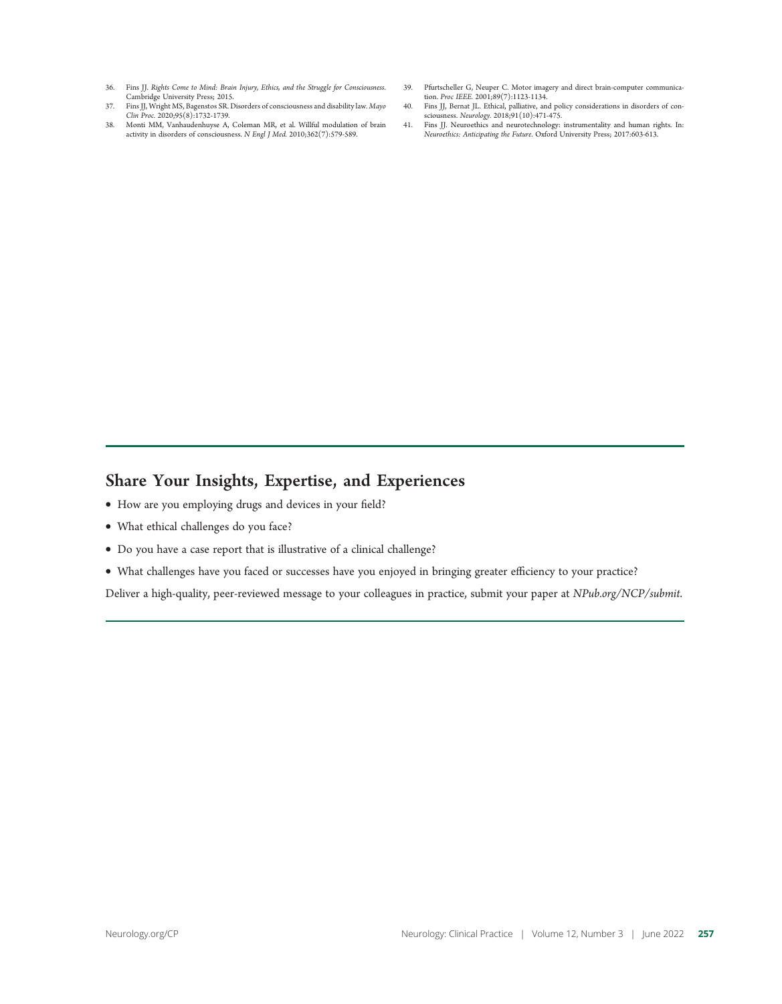- 36. Fins JJ. Rights Come to Mind: Brain Injury, Ethics, and the Struggle for Consciousness. Cambridge University Press; 2015.
- 37. Fins JJ, Wright MS, Bagenstos SR. Disorders of consciousness and disability law. Mayo Clin Proc. 2020;95(8):1732-1739.
- 38. Monti MM, Vanhaudenhuyse A, Coleman MR, et al. Willful modulation of brain activity in disorders of consciousness. N Engl J Med. 2010;362(7):579-589.
- 39. Pfurtscheller G, Neuper C. Motor imagery and direct brain-computer communication. Proc IEEE. 2001;89(7):1123-1134.
- 40. Fins JJ, Bernat JL. Ethical, palliative, and policy considerations in disorders of consciousness. Neurology. 2018;91(10):471-475.
- 41. Fins JJ. Neuroethics and neurotechnology: instrumentality and human rights. In: Neuroethics: Anticipating the Future. Oxford University Press; 2017:603-613.

## Share Your Insights, Expertise, and Experiences

- How are you employing drugs and devices in your field?
- What ethical challenges do you face?
- Do you have a case report that is illustrative of a clinical challenge?
- What challenges have you faced or successes have you enjoyed in bringing greater efficiency to your practice?

Deliver a high-quality, peer-reviewed message to your colleagues in practice, submit your paper at [NPub.org/NCP/submit](http://submit.cp.neurology.org/).